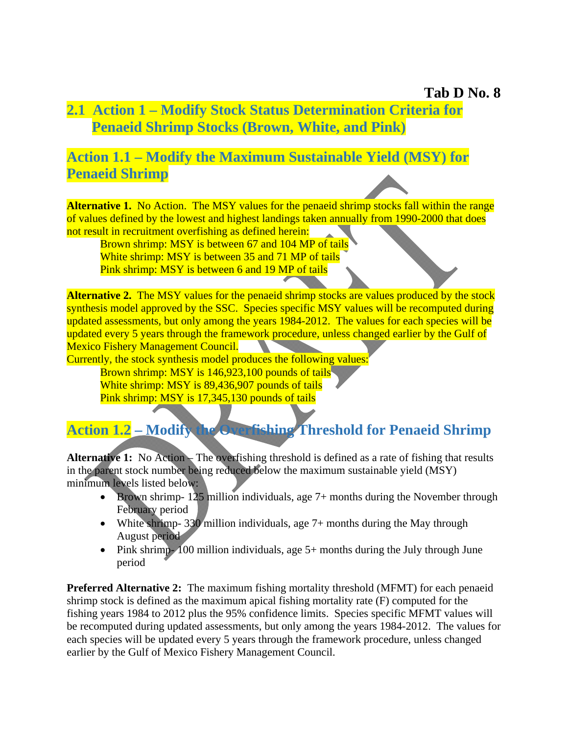## **2.1 Action 1 – Modify Stock Status Determination Criteria for Penaeid Shrimp Stocks (Brown, White, and Pink)**

## **Action 1.1 – Modify the Maximum Sustainable Yield (MSY) for Penaeid Shrimp**

**Alternative 1.** No Action. The MSY values for the penaeid shrimp stocks fall within the range of values defined by the lowest and highest landings taken annually from 1990-2000 that does not result in recruitment overfishing as defined herein:

Brown shrimp: MSY is between 67 and 104 MP of tails White shrimp: MSY is between 35 and 71 MP of tails Pink shrimp: MSY is between 6 and 19 MP of tails

**Alternative 2.** The MSY values for the penaeid shrimp stocks are values produced by the stock synthesis model approved by the SSC. Species specific MSY values will be recomputed during updated assessments, but only among the years 1984-2012. The values for each species will be updated every 5 years through the framework procedure, unless changed earlier by the Gulf of Mexico Fishery Management Council.

Currently, the stock synthesis model produces the following values:

Brown shrimp: MSY is 146,923,100 pounds of tails<sup>1</sup> White shrimp: MSY is 89,436,907 pounds of tails Pink shrimp: MSY is 17,345,130 pounds of tails

## **Action 1.2 – Modify the Overfishing Threshold for Penaeid Shrimp**

**Alternative 1:** No Action – The overfishing threshold is defined as a rate of fishing that results in the parent stock number being reduced below the maximum sustainable yield (MSY) minimum levels listed below:

- Brown shrimp- 125 million individuals, age 7+ months during the November through February period
- White shrimp- 330 million individuals, age  $7+$  months during the May through August period
- Pink shrimp- 100 million individuals, age 5+ months during the July through June period

**Preferred Alternative 2:** The maximum fishing mortality threshold (MFMT) for each penaeid shrimp stock is defined as the maximum apical fishing mortality rate (F) computed for the fishing years 1984 to 2012 plus the 95% confidence limits. Species specific MFMT values will be recomputed during updated assessments, but only among the years 1984-2012. The values for each species will be updated every 5 years through the framework procedure, unless changed earlier by the Gulf of Mexico Fishery Management Council.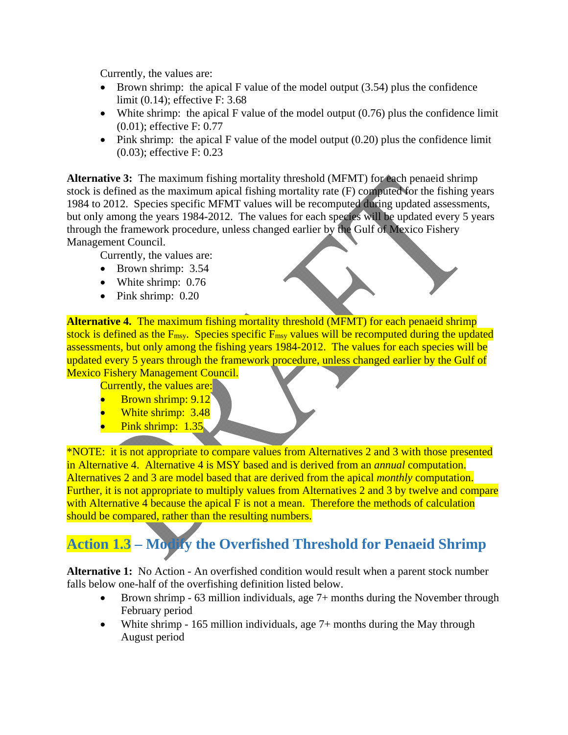Currently, the values are:

- $\bullet$  Brown shrimp: the apical F value of the model output (3.54) plus the confidence limit (0.14); effective F: 3.68
- White shrimp: the apical F value of the model output  $(0.76)$  plus the confidence limit (0.01); effective F: 0.77
- $\bullet$  Pink shrimp: the apical F value of the model output (0.20) plus the confidence limit (0.03); effective F: 0.23

**Alternative 3:** The maximum fishing mortality threshold (MFMT) for each penaeid shrimp stock is defined as the maximum apical fishing mortality rate (F) computed for the fishing years 1984 to 2012. Species specific MFMT values will be recomputed during updated assessments, but only among the years 1984-2012. The values for each species will be updated every 5 years through the framework procedure, unless changed earlier by the Gulf of Mexico Fishery Management Council.

Currently, the values are:

- Brown shrimp: 3.54
- White shrimp: 0.76
- $\bullet$  Pink shrimp: 0.20

**Alternative 4.** The maximum fishing mortality threshold (MFMT) for each penaeid shrimp stock is defined as the  $F_{\text{msy}}$ . Species specific  $F_{\text{msy}}$  values will be recomputed during the updated assessments, but only among the fishing years 1984-2012. The values for each species will be updated every 5 years through the framework procedure, unless changed earlier by the Gulf of Mexico Fishery Management Council.

Currently, the values are:

- Brown shrimp: 9.12
- White shrimp: 3.48
- Pink shrimp: 1.35

\*NOTE: it is not appropriate to compare values from Alternatives 2 and 3 with those presented in Alternative 4. Alternative 4 is MSY based and is derived from an *annual* computation. Alternatives 2 and 3 are model based that are derived from the apical *monthly* computation. Further, it is not appropriate to multiply values from Alternatives 2 and 3 by twelve and compare with Alternative 4 because the apical F is not a mean. Therefore the methods of calculation should be compared, rather than the resulting numbers.

## **Action 1.3 – Modify the Overfished Threshold for Penaeid Shrimp**

**Alternative 1:** No Action - An overfished condition would result when a parent stock number falls below one-half of the overfishing definition listed below.

- Brown shrimp 63 million individuals, age 7+ months during the November through February period
- White shrimp  $-165$  million individuals, age  $7+$  months during the May through August period